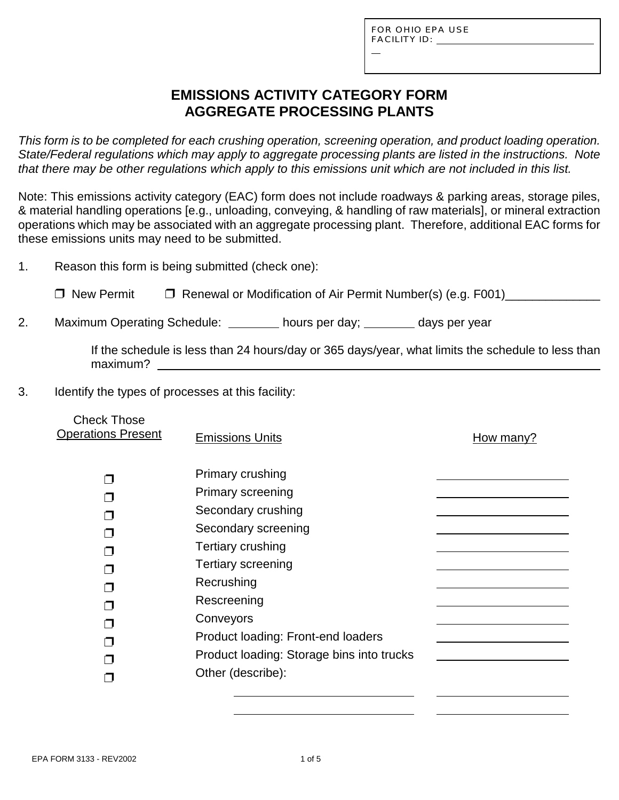L

## **EMISSIONS ACTIVITY CATEGORY FORM AGGREGATE PROCESSING PLANTS**

*This form is to be completed for each crushing operation, screening operation, and product loading operation. State/Federal regulations which may apply to aggregate processing plants are listed in the instructions. Note that there may be other regulations which apply to this emissions unit which are not included in this list.*

Note: This emissions activity category (EAC) form does not include roadways & parking areas, storage piles, & material handling operations [e.g., unloading, conveying, & handling of raw materials], or mineral extraction operations which may be associated with an aggregate processing plant. Therefore, additional EAC forms for these emissions units may need to be submitted.

1. Reason this form is being submitted (check one):

□ New Permit □ Renewal or Modification of Air Permit Number(s) (e.g. F001)

2. Maximum Operating Schedule: hours per day; days per year

If the schedule is less than 24 hours/day or 365 days/year, what limits the schedule to less than maximum?

3. Identify the types of processes at this facility:

| <b>Check Those</b><br><b>Operations Present</b> | <b>Emissions Units</b>                                                                                                                                                                                               | How many? |
|-------------------------------------------------|----------------------------------------------------------------------------------------------------------------------------------------------------------------------------------------------------------------------|-----------|
|                                                 | Primary crushing<br>Primary screening<br>Secondary crushing<br>Secondary screening<br>Tertiary crushing<br><b>Tertiary screening</b><br>Recrushing<br>Rescreening<br>Conveyors<br>Product loading: Front-end loaders |           |
|                                                 | Product loading: Storage bins into trucks                                                                                                                                                                            |           |
|                                                 | Other (describe):                                                                                                                                                                                                    |           |
|                                                 |                                                                                                                                                                                                                      |           |

 $\overline{a}$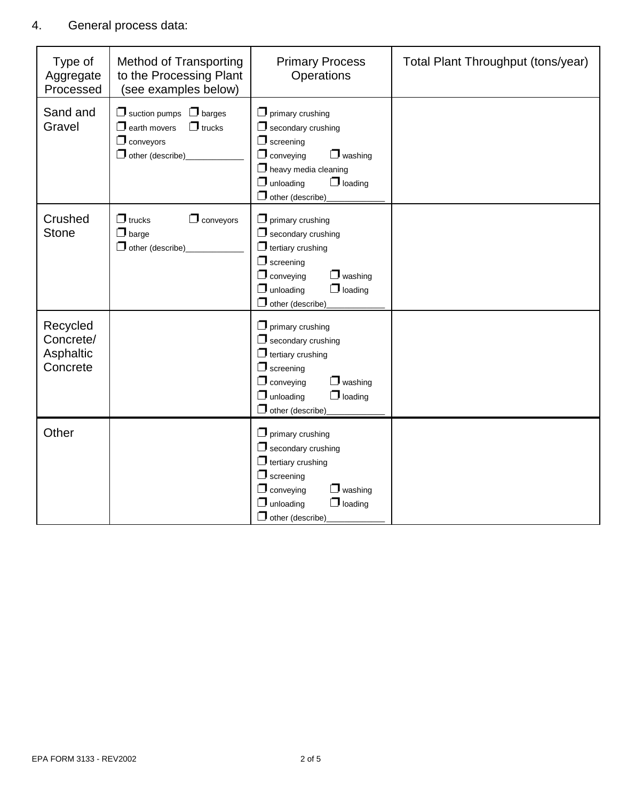### 4. General process data:

| Type of<br>Aggregate<br>Processed              | <b>Method of Transporting</b><br>to the Processing Plant<br>(see examples below)                                             | <b>Primary Process</b><br>Operations                                                                                                                                                                           | Total Plant Throughput (tons/year) |
|------------------------------------------------|------------------------------------------------------------------------------------------------------------------------------|----------------------------------------------------------------------------------------------------------------------------------------------------------------------------------------------------------------|------------------------------------|
| Sand and<br>Gravel                             | $\Box$ suction pumps<br>$\Box$ barges<br>$\Box$ earth movers<br>$\Box$ trucks<br>$\Box$ conveyors<br>$\Box$ other (describe) | $\Box$ primary crushing<br>$\Box$ secondary crushing<br>$\Box$ screening<br>$\Box$ conveying<br>$\Box$ washing<br>$\Box$ heavy media cleaning<br>$\Box$ unloading<br>$\Box$ loading<br>$\Box$ other (describe) |                                    |
| Crushed<br><b>Stone</b>                        | $\Box$ trucks<br>$\Box$ conveyors<br>$\Box$ barge<br>$\Box$ other (describe)                                                 | $\Box$ primary crushing<br>$\Box$ secondary crushing<br>$\Box$ tertiary crushing<br>$\Box$ screening<br>$\Box$ conveying<br>$\Box$ washing<br>$\Box$ loading<br>$\Box$ unloading<br>$\Box$ other (describe)    |                                    |
| Recycled<br>Concrete/<br>Asphaltic<br>Concrete |                                                                                                                              | $\Box$ primary crushing<br>$\Box$ secondary crushing<br>$\Box$ tertiary crushing<br>$\Box$ screening<br>$\Box$ conveying<br>washing<br>$\Box$ loading<br>$\Box$ unloading<br>$\Box$ other (describe)           |                                    |
| Other                                          |                                                                                                                              | $\Box$ primary crushing<br>$\Box$ secondary crushing<br>$\Box$ tertiary crushing<br>$\Box$ screening<br>$\Box$ conveying<br>$\Box$ washing<br>$\Box$ unloading<br>$\Box$ loading<br>$\Box$ other (describe)    |                                    |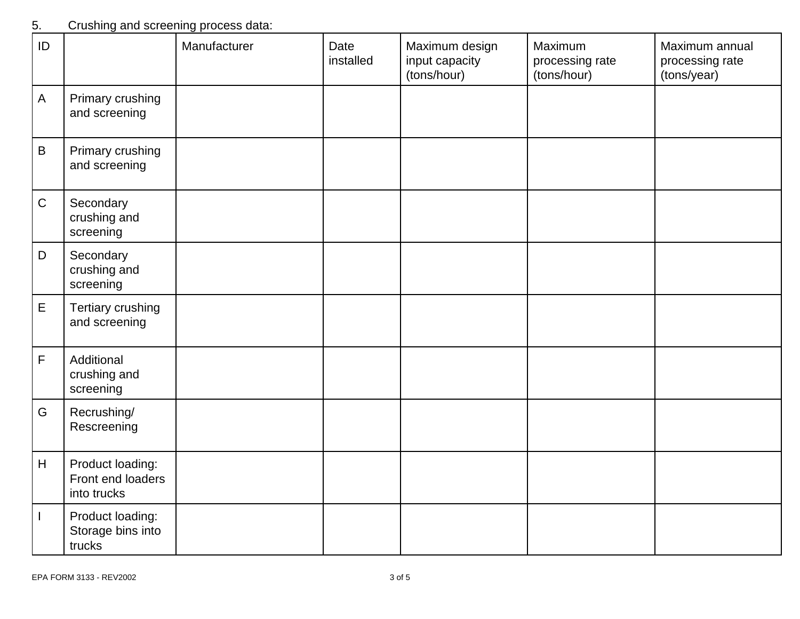### 5. Crushing and screening process data:

| ID           |                                                      | Manufacturer | Date<br>installed | Maximum design<br>input capacity<br>(tons/hour) | Maximum<br>processing rate<br>(tons/hour) | Maximum annual<br>processing rate<br>(tons/year) |
|--------------|------------------------------------------------------|--------------|-------------------|-------------------------------------------------|-------------------------------------------|--------------------------------------------------|
| $\mathsf{A}$ | Primary crushing<br>and screening                    |              |                   |                                                 |                                           |                                                  |
| $\sf B$      | Primary crushing<br>and screening                    |              |                   |                                                 |                                           |                                                  |
| $\mathsf C$  | Secondary<br>crushing and<br>screening               |              |                   |                                                 |                                           |                                                  |
| $\mathsf D$  | Secondary<br>crushing and<br>screening               |              |                   |                                                 |                                           |                                                  |
| $\mathsf E$  | Tertiary crushing<br>and screening                   |              |                   |                                                 |                                           |                                                  |
| $\mathsf F$  | Additional<br>crushing and<br>screening              |              |                   |                                                 |                                           |                                                  |
| G            | Recrushing/<br>Rescreening                           |              |                   |                                                 |                                           |                                                  |
| H            | Product loading:<br>Front end loaders<br>into trucks |              |                   |                                                 |                                           |                                                  |
|              | Product loading:<br>Storage bins into<br>trucks      |              |                   |                                                 |                                           |                                                  |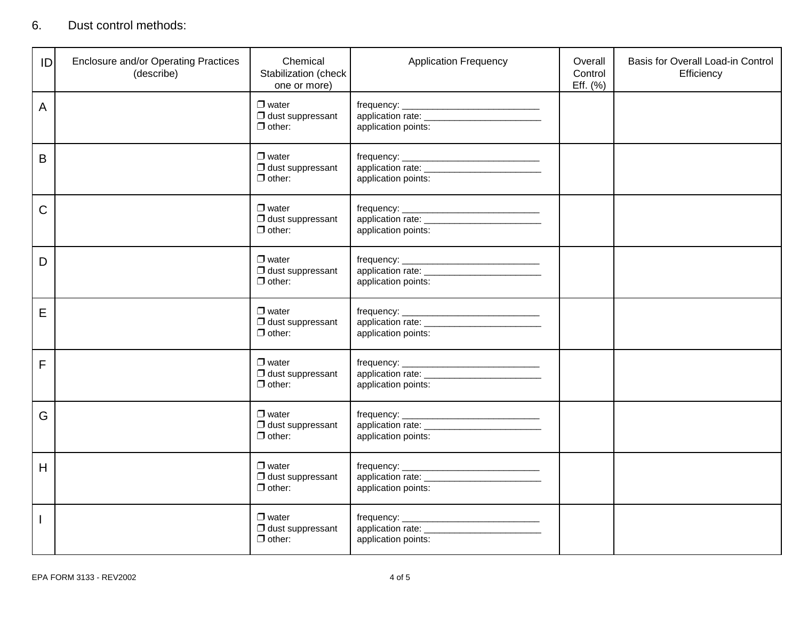### 6. Dust control methods:

| ID | <b>Enclosure and/or Operating Practices</b><br>(describe) | Chemical<br>Stabilization (check<br>one or more)         | <b>Application Frequency</b>                                                             | Overall<br>Control<br>Eff. (%) | Basis for Overall Load-in Control<br>Efficiency |
|----|-----------------------------------------------------------|----------------------------------------------------------|------------------------------------------------------------------------------------------|--------------------------------|-------------------------------------------------|
| A  |                                                           | $\Box$ water<br>$\Box$ dust suppressant<br>$\Box$ other: | application points:                                                                      |                                |                                                 |
| B  |                                                           | $\Box$ water<br>$\Box$ dust suppressant<br>$\Box$ other: | application points:                                                                      |                                |                                                 |
| C  |                                                           | $\Box$ water<br>$\Box$ dust suppressant<br>$\Box$ other: | application points:                                                                      |                                |                                                 |
| D  |                                                           | $\Box$ water<br>$\Box$ dust suppressant<br>$\Box$ other: | application points:                                                                      |                                |                                                 |
| E  |                                                           | $\Box$ water<br>$\Box$ dust suppressant<br>$\Box$ other: | application points:                                                                      |                                |                                                 |
| F  |                                                           | $\Box$ water<br>$\Box$ dust suppressant<br>$\Box$ other: | application points:                                                                      |                                |                                                 |
| G  |                                                           | $\Box$ water<br>$\Box$ dust suppressant<br>$\Box$ other: | application points:                                                                      |                                |                                                 |
| H  |                                                           | $\Box$ water<br>$\Box$ dust suppressant<br>$\Box$ other: | application rate: _<br><u> 1980 - Johann Barnett, mars et al.</u><br>application points: |                                |                                                 |
|    |                                                           | $\Box$ water<br>$\Box$ dust suppressant<br>$\Box$ other: | application points:                                                                      |                                |                                                 |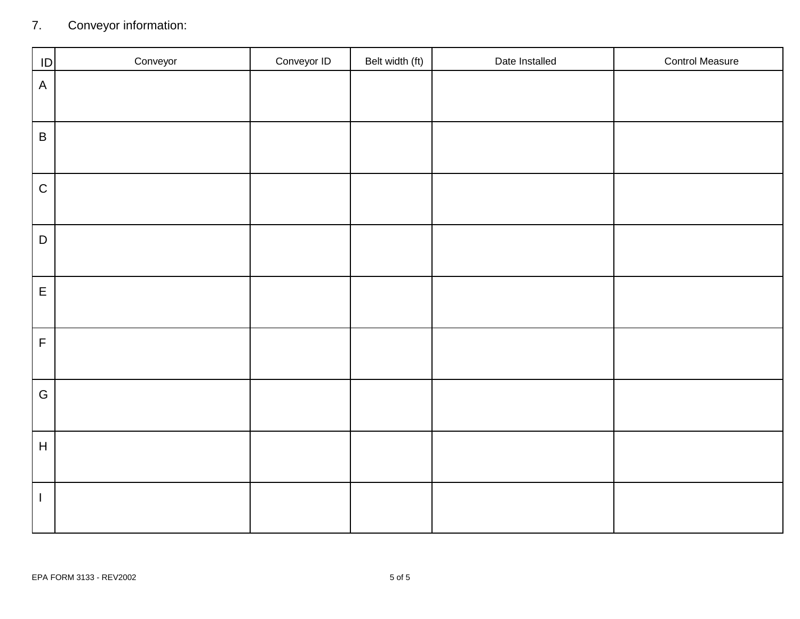# 7. Conveyor information:

| ID                      | Conveyor | Conveyor ID | Belt width (ft) | Date Installed | <b>Control Measure</b> |
|-------------------------|----------|-------------|-----------------|----------------|------------------------|
| $\mathsf A$             |          |             |                 |                |                        |
| $\sf B$                 |          |             |                 |                |                        |
| $\mathsf C$             |          |             |                 |                |                        |
| $\mathsf D$             |          |             |                 |                |                        |
| $\mathsf E$             |          |             |                 |                |                        |
| $\overline{\mathsf{F}}$ |          |             |                 |                |                        |
| G                       |          |             |                 |                |                        |
| $\overline{\mathsf{H}}$ |          |             |                 |                |                        |
|                         |          |             |                 |                |                        |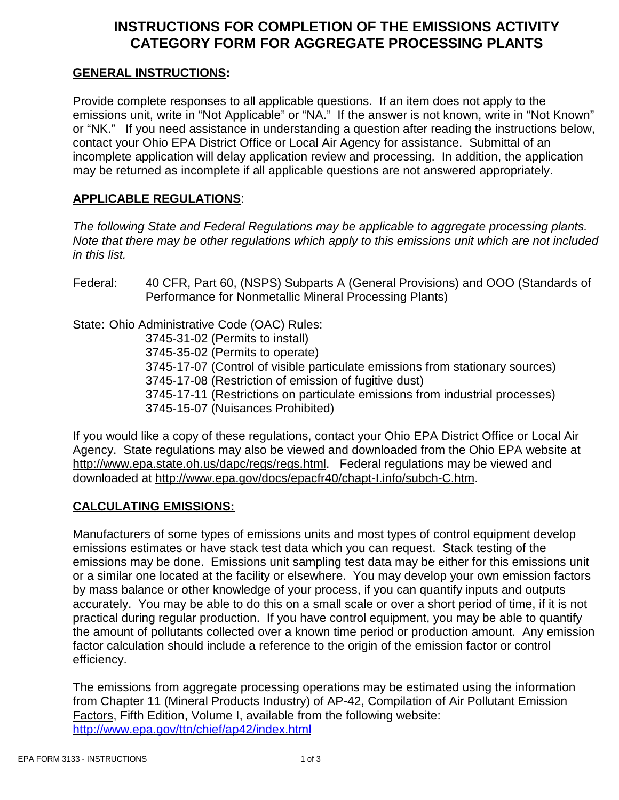### **INSTRUCTIONS FOR COMPLETION OF THE EMISSIONS ACTIVITY CATEGORY FORM FOR AGGREGATE PROCESSING PLANTS**

#### **GENERAL INSTRUCTIONS:**

Provide complete responses to all applicable questions. If an item does not apply to the emissions unit, write in "Not Applicable" or "NA." If the answer is not known, write in "Not Known" or "NK." If you need assistance in understanding a question after reading the instructions below, contact your Ohio EPA District Office or Local Air Agency for assistance. Submittal of an incomplete application will delay application review and processing. In addition, the application may be returned as incomplete if all applicable questions are not answered appropriately.

#### **APPLICABLE REGULATIONS**:

*The following State and Federal Regulations may be applicable to aggregate processing plants. Note that there may be other regulations which apply to this emissions unit which are not included in this list.*

Federal: 40 CFR, Part 60, (NSPS) Subparts A (General Provisions) and OOO (Standards of Performance for Nonmetallic Mineral Processing Plants)

State: Ohio Administrative Code (OAC) Rules:

3745-31-02 (Permits to install)

3745-35-02 (Permits to operate)

3745-17-07 (Control of visible particulate emissions from stationary sources)

3745-17-08 (Restriction of emission of fugitive dust)

3745-17-11 (Restrictions on particulate emissions from industrial processes)

3745-15-07 (Nuisances Prohibited)

If you would like a copy of these regulations, contact your Ohio EPA District Office or Local Air Agency. State regulations may also be viewed and downloaded from the Ohio EPA website at http://www.epa.state.oh.us/dapc/regs/regs.html. Federal regulations may be viewed and downloaded at http://www.epa.gov/docs/epacfr40/chapt-I.info/subch-C.htm.

### **CALCULATING EMISSIONS:**

Manufacturers of some types of emissions units and most types of control equipment develop emissions estimates or have stack test data which you can request. Stack testing of the emissions may be done. Emissions unit sampling test data may be either for this emissions unit or a similar one located at the facility or elsewhere. You may develop your own emission factors by mass balance or other knowledge of your process, if you can quantify inputs and outputs accurately. You may be able to do this on a small scale or over a short period of time, if it is not practical during regular production. If you have control equipment, you may be able to quantify the amount of pollutants collected over a known time period or production amount. Any emission factor calculation should include a reference to the origin of the emission factor or control efficiency.

The emissions from aggregate processing operations may be estimated using the information from Chapter 11 (Mineral Products Industry) of AP-42, Compilation of Air Pollutant Emission Factors, Fifth Edition, Volume I, available from the following website: http://www.epa.gov/ttn/chief/ap42/index.html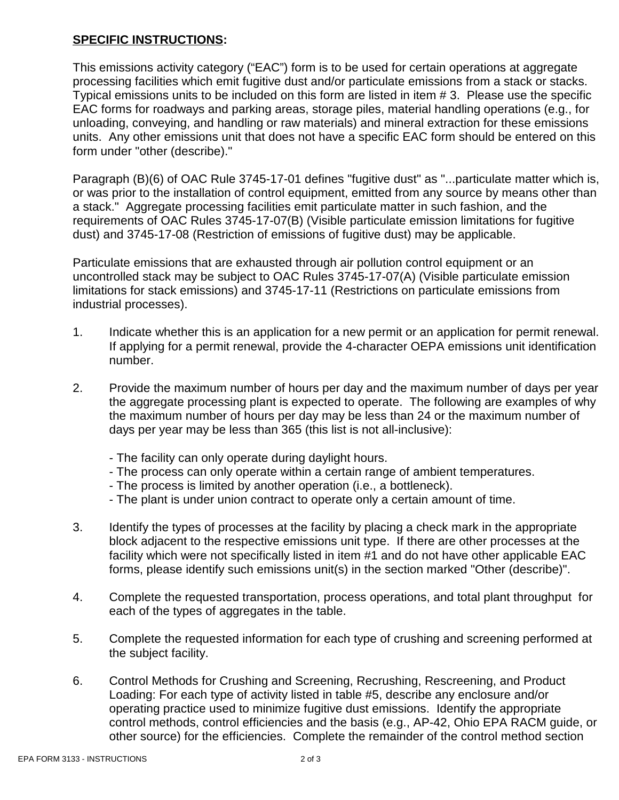#### **SPECIFIC INSTRUCTIONS:**

This emissions activity category ("EAC") form is to be used for certain operations at aggregate processing facilities which emit fugitive dust and/or particulate emissions from a stack or stacks. Typical emissions units to be included on this form are listed in item # 3. Please use the specific EAC forms for roadways and parking areas, storage piles, material handling operations (e.g., for unloading, conveying, and handling or raw materials) and mineral extraction for these emissions units. Any other emissions unit that does not have a specific EAC form should be entered on this form under "other (describe)."

Paragraph (B)(6) of OAC Rule 3745-17-01 defines "fugitive dust" as "...particulate matter which is, or was prior to the installation of control equipment, emitted from any source by means other than a stack." Aggregate processing facilities emit particulate matter in such fashion, and the requirements of OAC Rules 3745-17-07(B) (Visible particulate emission limitations for fugitive dust) and 3745-17-08 (Restriction of emissions of fugitive dust) may be applicable.

Particulate emissions that are exhausted through air pollution control equipment or an uncontrolled stack may be subject to OAC Rules 3745-17-07(A) (Visible particulate emission limitations for stack emissions) and 3745-17-11 (Restrictions on particulate emissions from industrial processes).

- 1. Indicate whether this is an application for a new permit or an application for permit renewal. If applying for a permit renewal, provide the 4-character OEPA emissions unit identification number.
- 2. Provide the maximum number of hours per day and the maximum number of days per year the aggregate processing plant is expected to operate. The following are examples of why the maximum number of hours per day may be less than 24 or the maximum number of days per year may be less than 365 (this list is not all-inclusive):
	- The facility can only operate during daylight hours.
	- The process can only operate within a certain range of ambient temperatures.
	- The process is limited by another operation (i.e., a bottleneck).
	- The plant is under union contract to operate only a certain amount of time.
- 3. Identify the types of processes at the facility by placing a check mark in the appropriate block adjacent to the respective emissions unit type. If there are other processes at the facility which were not specifically listed in item #1 and do not have other applicable EAC forms, please identify such emissions unit(s) in the section marked "Other (describe)".
- 4. Complete the requested transportation, process operations, and total plant throughput for each of the types of aggregates in the table.
- 5. Complete the requested information for each type of crushing and screening performed at the subject facility.
- 6. Control Methods for Crushing and Screening, Recrushing, Rescreening, and Product Loading: For each type of activity listed in table #5, describe any enclosure and/or operating practice used to minimize fugitive dust emissions. Identify the appropriate control methods, control efficiencies and the basis (e.g., AP-42, Ohio EPA RACM guide, or other source) for the efficiencies. Complete the remainder of the control method section